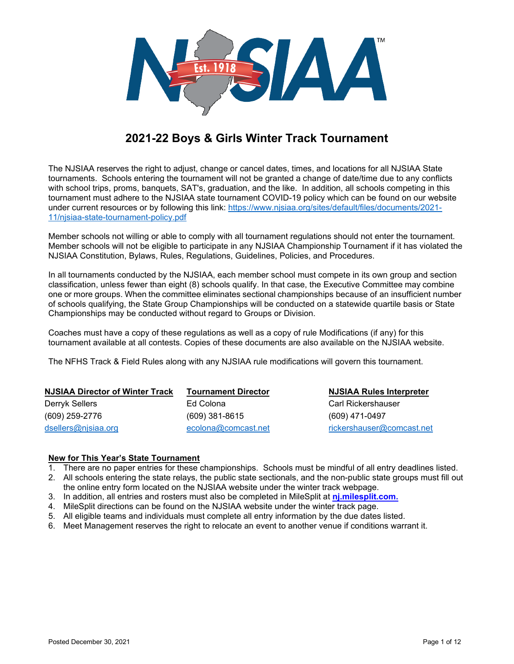

# **2021-22 Boys & Girls Winter Track Tournament**

The NJSIAA reserves the right to adjust, change or cancel dates, times, and locations for all NJSIAA State tournaments. Schools entering the tournament will not be granted a change of date/time due to any conflicts with school trips, proms, banquets, SAT's, graduation, and the like. In addition, all schools competing in this tournament must adhere to the NJSIAA state tournament COVID-19 policy which can be found on our website under current resources or by following this link: [https://www.njsiaa.org/sites/default/files/documents/2021-](https://www.njsiaa.org/sites/default/files/documents/2021-11/njsiaa-state-tournament-policy.pdf) [11/njsiaa-state-tournament-policy.pdf](https://www.njsiaa.org/sites/default/files/documents/2021-11/njsiaa-state-tournament-policy.pdf)

Member schools not willing or able to comply with all tournament regulations should not enter the tournament. Member schools will not be eligible to participate in any NJSIAA Championship Tournament if it has violated the NJSIAA Constitution, Bylaws, Rules, Regulations, Guidelines, Policies, and Procedures.

In all tournaments conducted by the NJSIAA, each member school must compete in its own group and section classification, unless fewer than eight (8) schools qualify. In that case, the Executive Committee may combine one or more groups. When the committee eliminates sectional championships because of an insufficient number of schools qualifying, the State Group Championships will be conducted on a statewide quartile basis or State Championships may be conducted without regard to Groups or Division.

Coaches must have a copy of these regulations as well as a copy of rule Modifications (if any) for this tournament available at all contests. Copies of these documents are also available on the NJSIAA website.

The NFHS Track & Field Rules along with any NJSIAA rule modifications will govern this tournament.

| <b>NJSIAA Director of Winter Track</b> | <b>Tournament Director</b> | <b>NJSIAA Rules Interpreter</b> |
|----------------------------------------|----------------------------|---------------------------------|
| Derryk Sellers                         | Ed Colona                  | Carl Rickershauser              |
| (609) 259-2776                         | $(609)$ 381-8615           | (609) 471-0497                  |
| dsellers@njsiaa.org                    | ecolona@comcast.net        | rickershauser@comcast.net       |

#### **New for This Year's State Tournament**

- 1. There are no paper entries for these championships. Schools must be mindful of all entry deadlines listed.
- 2. All schools entering the state relays, the public state sectionals, and the non-public state groups must fill out the online entry form located on the NJSIAA website under the winter track webpage.
- 3. In addition, all entries and rosters must also be completed in MileSplit at **[nj.milesplit.com.](http://nj.milesplit.com/)**
- 4. MileSplit directions can be found on the NJSIAA website under the winter track page.
- 5. All eligible teams and individuals must complete all entry information by the due dates listed.
- 6. Meet Management reserves the right to relocate an event to another venue if conditions warrant it.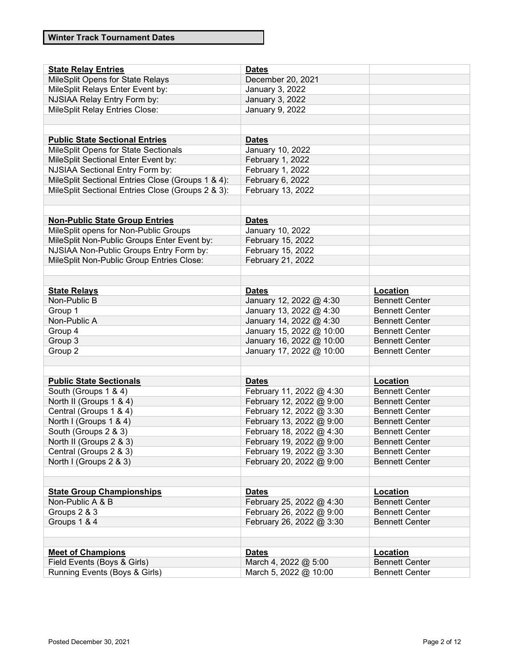| <b>State Relay Entries</b>                                                    | <b>Dates</b>             |                       |
|-------------------------------------------------------------------------------|--------------------------|-----------------------|
| MileSplit Opens for State Relays                                              | December 20, 2021        |                       |
| MileSplit Relays Enter Event by:                                              | January 3, 2022          |                       |
| NJSIAA Relay Entry Form by:                                                   | <b>January 3, 2022</b>   |                       |
| <b>MileSplit Relay Entries Close:</b>                                         | January 9, 2022          |                       |
|                                                                               |                          |                       |
|                                                                               |                          |                       |
|                                                                               |                          |                       |
| <b>Public State Sectional Entries</b><br>MileSplit Opens for State Sectionals | <b>Dates</b>             |                       |
|                                                                               | January 10, 2022         |                       |
| MileSplit Sectional Enter Event by:                                           | February 1, 2022         |                       |
| NJSIAA Sectional Entry Form by:                                               | February 1, 2022         |                       |
| MileSplit Sectional Entries Close (Groups 1 & 4):                             | February 6, 2022         |                       |
| MileSplit Sectional Entries Close (Groups 2 & 3):                             | February 13, 2022        |                       |
|                                                                               |                          |                       |
|                                                                               |                          |                       |
| <b>Non-Public State Group Entries</b>                                         | <b>Dates</b>             |                       |
| MileSplit opens for Non-Public Groups                                         | January 10, 2022         |                       |
| MileSplit Non-Public Groups Enter Event by:                                   | February 15, 2022        |                       |
| NJSIAA Non-Public Groups Entry Form by:                                       | February 15, 2022        |                       |
| MileSplit Non-Public Group Entries Close:                                     | February 21, 2022        |                       |
|                                                                               |                          |                       |
|                                                                               |                          |                       |
| <b>State Relays</b>                                                           | <b>Dates</b>             | Location              |
| Non-Public B                                                                  | January 12, 2022 @ 4:30  | <b>Bennett Center</b> |
| Group 1                                                                       | January 13, 2022 @ 4:30  | <b>Bennett Center</b> |
| Non-Public A                                                                  | January 14, 2022 @ 4:30  | <b>Bennett Center</b> |
| Group 4                                                                       | January 15, 2022 @ 10:00 | <b>Bennett Center</b> |
| Group 3                                                                       | January 16, 2022 @ 10:00 | <b>Bennett Center</b> |
| Group 2                                                                       | January 17, 2022 @ 10:00 | <b>Bennett Center</b> |
|                                                                               |                          |                       |
|                                                                               |                          |                       |
| <b>Public State Sectionals</b>                                                | <b>Dates</b>             | Location              |
| South (Groups 1 & 4)                                                          | February 11, 2022 @ 4:30 | <b>Bennett Center</b> |
| North II (Groups 1 & 4)                                                       | February 12, 2022 @ 9:00 | <b>Bennett Center</b> |
| Central (Groups 1 & 4)                                                        | February 12, 2022 @ 3:30 | <b>Bennett Center</b> |
| North I (Groups 1 & 4)                                                        | February 13, 2022 @ 9:00 | <b>Bennett Center</b> |
| South (Groups 2 & 3)                                                          | February 18, 2022 @ 4:30 | <b>Bennett Center</b> |
| North II (Groups 2 & 3)                                                       | February 19, 2022 @ 9:00 | <b>Bennett Center</b> |
| Central (Groups 2 & 3)                                                        | February 19, 2022 @ 3:30 | <b>Bennett Center</b> |
| North I (Groups 2 & 3)                                                        | February 20, 2022 @ 9:00 | <b>Bennett Center</b> |
|                                                                               |                          |                       |
|                                                                               |                          |                       |
| <b>State Group Championships</b>                                              | <b>Dates</b>             | Location              |
| Non-Public A & B                                                              | February 25, 2022 @ 4:30 | <b>Bennett Center</b> |
| Groups 2 & 3                                                                  | February 26, 2022 @ 9:00 | <b>Bennett Center</b> |
| Groups 1 & 4                                                                  | February 26, 2022 @ 3:30 | <b>Bennett Center</b> |
|                                                                               |                          |                       |
|                                                                               |                          |                       |
| <b>Meet of Champions</b>                                                      | <b>Dates</b>             | Location              |
| Field Events (Boys & Girls)                                                   | March 4, 2022 @ 5:00     | <b>Bennett Center</b> |
| Running Events (Boys & Girls)                                                 | March 5, 2022 @ 10:00    | <b>Bennett Center</b> |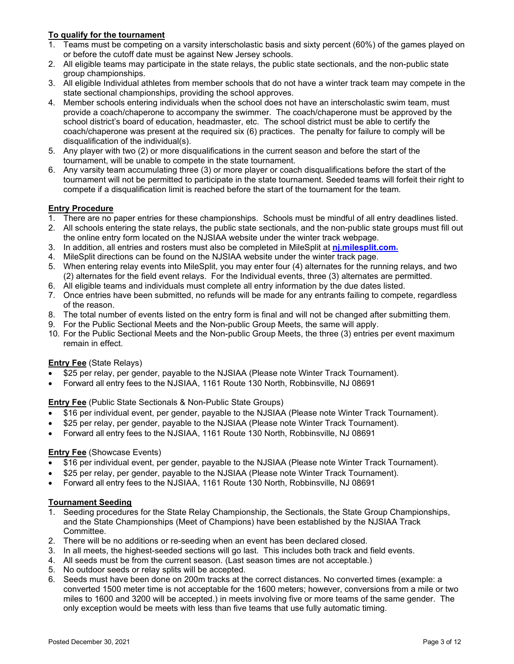# **To qualify for the tournament**

- 1. Teams must be competing on a varsity interscholastic basis and sixty percent (60%) of the games played on or before the cutoff date must be against New Jersey schools.
- 2. All eligible teams may participate in the state relays, the public state sectionals, and the non-public state group championships.
- 3. All eligible Individual athletes from member schools that do not have a winter track team may compete in the state sectional championships, providing the school approves.
- 4. Member schools entering individuals when the school does not have an interscholastic swim team, must provide a coach/chaperone to accompany the swimmer. The coach/chaperone must be approved by the school district's board of education, headmaster, etc. The school district must be able to certify the coach/chaperone was present at the required six (6) practices. The penalty for failure to comply will be disqualification of the individual(s).
- 5. Any player with two (2) or more disqualifications in the current season and before the start of the tournament, will be unable to compete in the state tournament.
- 6. Any varsity team accumulating three (3) or more player or coach disqualifications before the start of the tournament will not be permitted to participate in the state tournament. Seeded teams will forfeit their right to compete if a disqualification limit is reached before the start of the tournament for the team.

# **Entry Procedure**

- 1. There are no paper entries for these championships. Schools must be mindful of all entry deadlines listed.
- 2. All schools entering the state relays, the public state sectionals, and the non-public state groups must fill out the online entry form located on the NJSIAA website under the winter track webpage.
- 3. In addition, all entries and rosters must also be completed in MileSplit at **[nj.milesplit.com.](http://nj.milesplit.com/)**
- 4. MileSplit directions can be found on the NJSIAA website under the winter track page.
- 5. When entering relay events into MileSplit, you may enter four (4) alternates for the running relays, and two (2) alternates for the field event relays. For the Individual events, three (3) alternates are permitted.
- 6. All eligible teams and individuals must complete all entry information by the due dates listed.
- 7. Once entries have been submitted, no refunds will be made for any entrants failing to compete, regardless of the reason.
- 8. The total number of events listed on the entry form is final and will not be changed after submitting them.
- 9. For the Public Sectional Meets and the Non-public Group Meets, the same will apply.
- 10. For the Public Sectional Meets and the Non-public Group Meets, the three (3) entries per event maximum remain in effect.

# **Entry Fee** (State Relays)

- \$25 per relay, per gender, payable to the NJSIAA (Please note Winter Track Tournament).
- Forward all entry fees to the NJSIAA, 1161 Route 130 North, Robbinsville, NJ 08691

**Entry Fee** (Public State Sectionals & Non-Public State Groups)

- \$16 per individual event, per gender, payable to the NJSIAA (Please note Winter Track Tournament).
- \$25 per relay, per gender, payable to the NJSIAA (Please note Winter Track Tournament).
- Forward all entry fees to the NJSIAA, 1161 Route 130 North, Robbinsville, NJ 08691

# **Entry Fee** (Showcase Events)

- \$16 per individual event, per gender, payable to the NJSIAA (Please note Winter Track Tournament).
- \$25 per relay, per gender, payable to the NJSIAA (Please note Winter Track Tournament).
- Forward all entry fees to the NJSIAA, 1161 Route 130 North, Robbinsville, NJ 08691

#### **Tournament Seeding**

- 1. Seeding procedures for the State Relay Championship, the Sectionals, the State Group Championships, and the State Championships (Meet of Champions) have been established by the NJSIAA Track Committee.
- 2. There will be no additions or re-seeding when an event has been declared closed.
- 3. In all meets, the highest-seeded sections will go last. This includes both track and field events.
- 4. All seeds must be from the current season. (Last season times are not acceptable.)
- 5. No outdoor seeds or relay splits will be accepted.
- 6. Seeds must have been done on 200m tracks at the correct distances. No converted times (example: a converted 1500 meter time is not acceptable for the 1600 meters; however, conversions from a mile or two miles to 1600 and 3200 will be accepted.) in meets involving five or more teams of the same gender. The only exception would be meets with less than five teams that use fully automatic timing.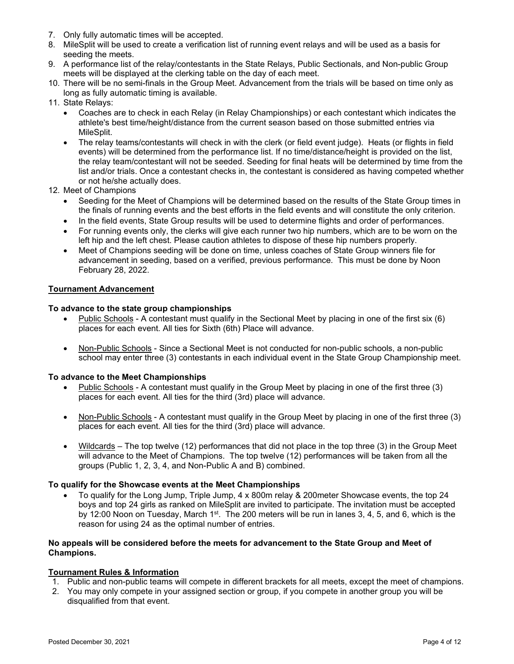- 7. Only fully automatic times will be accepted.
- 8. MileSplit will be used to create a verification list of running event relays and will be used as a basis for seeding the meets.
- 9. A performance list of the relay/contestants in the State Relays, Public Sectionals, and Non-public Group meets will be displayed at the clerking table on the day of each meet.
- 10. There will be no semi-finals in the Group Meet. Advancement from the trials will be based on time only as long as fully automatic timing is available.
- 11. State Relays:
	- Coaches are to check in each Relay (in Relay Championships) or each contestant which indicates the athlete's best time/height/distance from the current season based on those submitted entries via MileSplit.
	- The relay teams/contestants will check in with the clerk (or field event judge). Heats (or flights in field events) will be determined from the performance list. If no time/distance/height is provided on the list, the relay team/contestant will not be seeded. Seeding for final heats will be determined by time from the list and/or trials. Once a contestant checks in, the contestant is considered as having competed whether or not he/she actually does.
- 12. Meet of Champions
	- Seeding for the Meet of Champions will be determined based on the results of the State Group times in the finals of running events and the best efforts in the field events and will constitute the only criterion.
	- In the field events, State Group results will be used to determine flights and order of performances.
	- For running events only, the clerks will give each runner two hip numbers, which are to be worn on the left hip and the left chest. Please caution athletes to dispose of these hip numbers properly.
	- Meet of Champions seeding will be done on time, unless coaches of State Group winners file for advancement in seeding, based on a verified, previous performance. This must be done by Noon February 28, 2022.

#### **Tournament Advancement**

#### **To advance to the state group championships**

- Public Schools A contestant must qualify in the Sectional Meet by placing in one of the first six (6) places for each event. All ties for Sixth (6th) Place will advance.
- Non-Public Schools Since a Sectional Meet is not conducted for non-public schools, a non-public school may enter three (3) contestants in each individual event in the State Group Championship meet.

#### **To advance to the Meet Championships**

- Public Schools A contestant must qualify in the Group Meet by placing in one of the first three (3) places for each event. All ties for the third (3rd) place will advance.
- Non-Public Schools A contestant must qualify in the Group Meet by placing in one of the first three (3) places for each event. All ties for the third (3rd) place will advance.
- Wildcards The top twelve (12) performances that did not place in the top three (3) in the Group Meet will advance to the Meet of Champions. The top twelve (12) performances will be taken from all the groups (Public 1, 2, 3, 4, and Non-Public A and B) combined.

#### **To qualify for the Showcase events at the Meet Championships**

• To qualify for the Long Jump, Triple Jump, 4 x 800m relay & 200meter Showcase events, the top 24 boys and top 24 girls as ranked on MileSplit are invited to participate. The invitation must be accepted by 12:00 Noon on Tuesday, March 1<sup>st</sup>. The 200 meters will be run in lanes 3, 4, 5, and 6, which is the reason for using 24 as the optimal number of entries.

#### **No appeals will be considered before the meets for advancement to the State Group and Meet of Champions.**

# **Tournament Rules & Information**

- 1. Public and non-public teams will compete in different brackets for all meets, except the meet of champions.
- 2. You may only compete in your assigned section or group, if you compete in another group you will be disqualified from that event.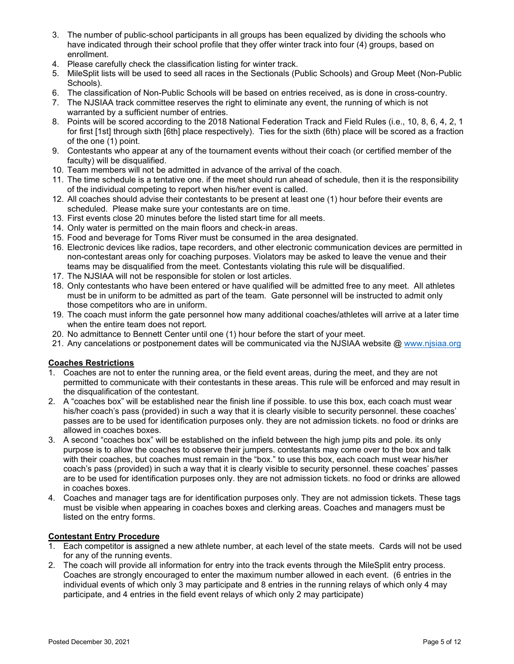- 3. The number of public-school participants in all groups has been equalized by dividing the schools who have indicated through their school profile that they offer winter track into four (4) groups, based on enrollment.
- 4. Please carefully check the classification listing for winter track.
- 5. MileSplit lists will be used to seed all races in the Sectionals (Public Schools) and Group Meet (Non-Public Schools).
- 6. The classification of Non-Public Schools will be based on entries received, as is done in cross-country.
- 7. The NJSIAA track committee reserves the right to eliminate any event, the running of which is not warranted by a sufficient number of entries.
- 8. Points will be scored according to the 2018 National Federation Track and Field Rules (i.e., 10, 8, 6, 4, 2, 1 for first [1st] through sixth [6th] place respectively). Ties for the sixth (6th) place will be scored as a fraction of the one (1) point.
- 9. Contestants who appear at any of the tournament events without their coach (or certified member of the faculty) will be disqualified.
- 10. Team members will not be admitted in advance of the arrival of the coach.
- 11. The time schedule is a tentative one. if the meet should run ahead of schedule, then it is the responsibility of the individual competing to report when his/her event is called.
- 12. All coaches should advise their contestants to be present at least one (1) hour before their events are scheduled. Please make sure your contestants are on time.
- 13. First events close 20 minutes before the listed start time for all meets.
- 14. Only water is permitted on the main floors and check-in areas.
- 15. Food and beverage for Toms River must be consumed in the area designated.
- 16. Electronic devices like radios, tape recorders, and other electronic communication devices are permitted in non-contestant areas only for coaching purposes. Violators may be asked to leave the venue and their teams may be disqualified from the meet. Contestants violating this rule will be disqualified.
- 17. The NJSIAA will not be responsible for stolen or lost articles.
- 18. Only contestants who have been entered or have qualified will be admitted free to any meet. All athletes must be in uniform to be admitted as part of the team. Gate personnel will be instructed to admit only those competitors who are in uniform.
- 19. The coach must inform the gate personnel how many additional coaches/athletes will arrive at a later time when the entire team does not report.
- 20. No admittance to Bennett Center until one (1) hour before the start of your meet.
- 21. Any cancelations or postponement dates will be communicated via the NJSIAA website @ [www.njsiaa.org](http://www.njsiaa.org/)

# **Coaches Restrictions**

- 1. Coaches are not to enter the running area, or the field event areas, during the meet, and they are not permitted to communicate with their contestants in these areas. This rule will be enforced and may result in the disqualification of the contestant.
- 2. A "coaches box" will be established near the finish line if possible. to use this box, each coach must wear his/her coach's pass (provided) in such a way that it is clearly visible to security personnel. these coaches' passes are to be used for identification purposes only. they are not admission tickets. no food or drinks are allowed in coaches boxes.
- 3. A second "coaches box" will be established on the infield between the high jump pits and pole. its only purpose is to allow the coaches to observe their jumpers. contestants may come over to the box and talk with their coaches, but coaches must remain in the "box." to use this box, each coach must wear his/her coach's pass (provided) in such a way that it is clearly visible to security personnel. these coaches' passes are to be used for identification purposes only. they are not admission tickets. no food or drinks are allowed in coaches boxes.
- 4. Coaches and manager tags are for identification purposes only. They are not admission tickets. These tags must be visible when appearing in coaches boxes and clerking areas. Coaches and managers must be listed on the entry forms.

# **Contestant Entry Procedure**

- 1. Each competitor is assigned a new athlete number, at each level of the state meets. Cards will not be used for any of the running events.
- 2. The coach will provide all information for entry into the track events through the MileSplit entry process. Coaches are strongly encouraged to enter the maximum number allowed in each event. (6 entries in the individual events of which only 3 may participate and 8 entries in the running relays of which only 4 may participate, and 4 entries in the field event relays of which only 2 may participate)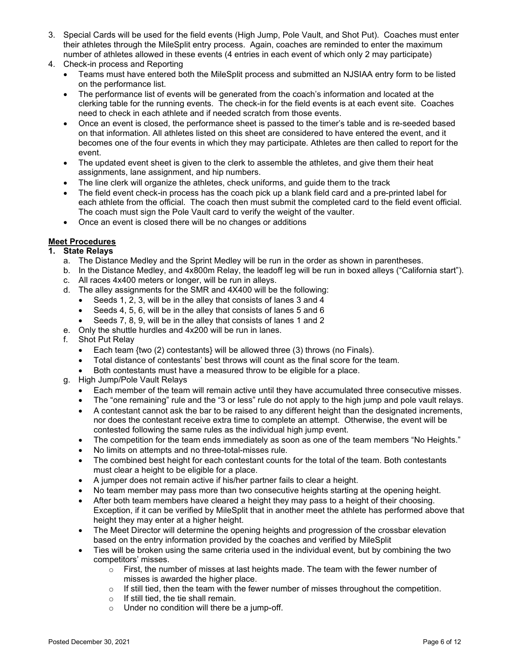- 3. Special Cards will be used for the field events (High Jump, Pole Vault, and Shot Put). Coaches must enter their athletes through the MileSplit entry process. Again, coaches are reminded to enter the maximum number of athletes allowed in these events (4 entries in each event of which only 2 may participate)
- 4. Check-in process and Reporting
	- Teams must have entered both the MileSplit process and submitted an NJSIAA entry form to be listed on the performance list.
	- The performance list of events will be generated from the coach's information and located at the clerking table for the running events. The check-in for the field events is at each event site. Coaches need to check in each athlete and if needed scratch from those events.
	- Once an event is closed, the performance sheet is passed to the timer's table and is re-seeded based on that information. All athletes listed on this sheet are considered to have entered the event, and it becomes one of the four events in which they may participate. Athletes are then called to report for the event.
	- The updated event sheet is given to the clerk to assemble the athletes, and give them their heat assignments, lane assignment, and hip numbers.
	- The line clerk will organize the athletes, check uniforms, and guide them to the track
	- The field event check-in process has the coach pick up a blank field card and a pre-printed label for each athlete from the official. The coach then must submit the completed card to the field event official. The coach must sign the Pole Vault card to verify the weight of the vaulter.
	- Once an event is closed there will be no changes or additions

# **Meet Procedures**

#### **1. State Relays**

- a. The Distance Medley and the Sprint Medley will be run in the order as shown in parentheses.
- b. In the Distance Medley, and 4x800m Relay, the leadoff leg will be run in boxed alleys ("California start").
- c. All races 4x400 meters or longer, will be run in alleys.
- d. The alley assignments for the SMR and 4X400 will be the following:
	- Seeds 1, 2, 3, will be in the alley that consists of lanes 3 and 4
	- Seeds 4, 5, 6, will be in the alley that consists of lanes 5 and 6
	- Seeds 7, 8, 9, will be in the alley that consists of lanes 1 and 2
- e. Only the shuttle hurdles and 4x200 will be run in lanes.
- f. Shot Put Relay
	- Each team {two (2) contestants} will be allowed three (3) throws (no Finals).
	- Total distance of contestants' best throws will count as the final score for the team.
	- Both contestants must have a measured throw to be eligible for a place.
- g. High Jump/Pole Vault Relays
	- Each member of the team will remain active until they have accumulated three consecutive misses.
	- The "one remaining" rule and the "3 or less" rule do not apply to the high jump and pole vault relays.
	- A contestant cannot ask the bar to be raised to any different height than the designated increments, nor does the contestant receive extra time to complete an attempt. Otherwise, the event will be contested following the same rules as the individual high jump event.
	- The competition for the team ends immediately as soon as one of the team members "No Heights."
	- No limits on attempts and no three-total-misses rule.
	- The combined best height for each contestant counts for the total of the team. Both contestants must clear a height to be eligible for a place.
	- A jumper does not remain active if his/her partner fails to clear a height.
	- No team member may pass more than two consecutive heights starting at the opening height.
	- After both team members have cleared a height they may pass to a height of their choosing. Exception, if it can be verified by MileSplit that in another meet the athlete has performed above that height they may enter at a higher height.
	- The Meet Director will determine the opening heights and progression of the crossbar elevation based on the entry information provided by the coaches and verified by MileSplit
	- Ties will be broken using the same criteria used in the individual event, but by combining the two competitors' misses.
		- $\circ$  First, the number of misses at last heights made. The team with the fewer number of misses is awarded the higher place.
		- o If still tied, then the team with the fewer number of misses throughout the competition.
		- o If still tied, the tie shall remain.
		- o Under no condition will there be a jump-off.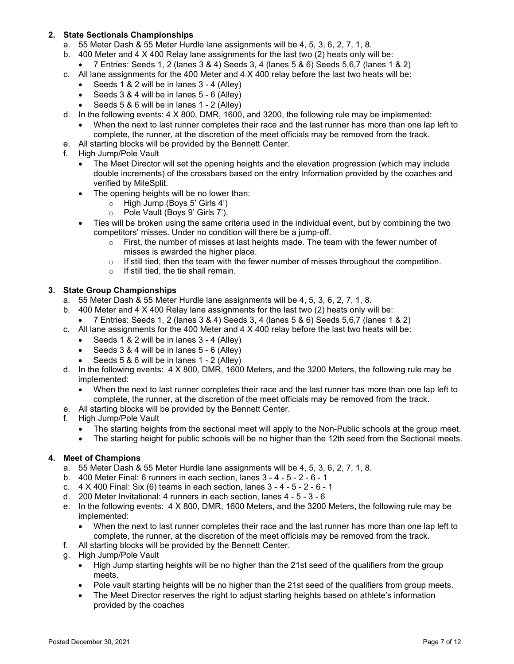# **2. State Sectionals Championships**

- a. 55 Meter Dash & 55 Meter Hurdle lane assignments will be 4, 5, 3, 6, 2, 7, 1, 8.
- b. 400 Meter and 4 X 400 Relay lane assignments for the last two (2) heats only will be:
	- 7 Entries: Seeds 1, 2 (lanes 3 & 4) Seeds 3, 4 (lanes 5 & 6) Seeds 5,6,7 (lanes 1 & 2)
- c. All lane assignments for the 400 Meter and  $4 \times 400$  relay before the last two heats will be:
	- Seeds 1 & 2 will be in lanes 3 4 (Alley)
	- Seeds 3 & 4 will be in lanes 5 6 (Alley)
	- Seeds 5 & 6 will be in lanes 1 2 (Alley)
- d. In the following events: 4 X 800, DMR, 1600, and 3200, the following rule may be implemented:
	- When the next to last runner completes their race and the last runner has more than one lap left to complete, the runner, at the discretion of the meet officials may be removed from the track.
- e. All starting blocks will be provided by the Bennett Center.
- f. High Jump/Pole Vault
	- The Meet Director will set the opening heights and the elevation progression (which may include double increments) of the crossbars based on the entry Information provided by the coaches and verified by MileSplit.
	- The opening heights will be no lower than:
		- $\circ$  High Jump (Boys 5' Girls 4')
		- o Pole Vault (Boys 9' Girls 7').
	- Ties will be broken using the same criteria used in the individual event, but by combining the two competitors' misses. Under no condition will there be a jump-off.
		- $\circ$  First, the number of misses at last heights made. The team with the fewer number of misses is awarded the higher place.
		- $\circ$  If still tied, then the team with the fewer number of misses throughout the competition.
		- o If still tied, the tie shall remain.

#### **3. State Group Championships**

- a. 55 Meter Dash & 55 Meter Hurdle lane assignments will be 4, 5, 3, 6, 2, 7, 1, 8.
- b. 400 Meter and 4 X 400 Relay lane assignments for the last two (2) heats only will be:
	- 7 Entries: Seeds 1, 2 (lanes  $3 \& 4$ ) Seeds  $3, 4$  (lanes  $5 \& 6$ ) Seeds  $5.67$  (lanes  $1 \& 2$ )
- c. All lane assignments for the 400 Meter and  $4 \times 400$  relay before the last two heats will be:
	- Seeds 1 & 2 will be in lanes 3 4 (Alley)
	- Seeds 3 & 4 will be in lanes 5 6 (Alley)
	- Seeds 5 & 6 will be in lanes 1 2 (Alley)
- d. In the following events: 4 X 800, DMR, 1600 Meters, and the 3200 Meters, the following rule may be implemented:
	- When the next to last runner completes their race and the last runner has more than one lap left to complete, the runner, at the discretion of the meet officials may be removed from the track.
- e. All starting blocks will be provided by the Bennett Center.
- f. High Jump/Pole Vault
	- The starting heights from the sectional meet will apply to the Non-Public schools at the group meet.
	- The starting height for public schools will be no higher than the 12th seed from the Sectional meets.

#### **4. Meet of Champions**

- a. 55 Meter Dash & 55 Meter Hurdle lane assignments will be 4, 5, 3, 6, 2, 7, 1, 8.
- b. 400 Meter Final: 6 runners in each section, lanes 3 4 5 2 6 1
- c. 4 X 400 Final: Six (6) teams in each section, lanes 3 4 5 2 6 1
- d. 200 Meter Invitational: 4 runners in each section, lanes 4 5 3 6
- e. In the following events: 4 X 800, DMR, 1600 Meters, and the 3200 Meters, the following rule may be implemented:
	- When the next to last runner completes their race and the last runner has more than one lap left to complete, the runner, at the discretion of the meet officials may be removed from the track.
- f. All starting blocks will be provided by the Bennett Center.
- g. High Jump/Pole Vault
	- High Jump starting heights will be no higher than the 21st seed of the qualifiers from the group meets.
	- Pole vault starting heights will be no higher than the 21st seed of the qualifiers from group meets.
	- The Meet Director reserves the right to adjust starting heights based on athlete's information provided by the coaches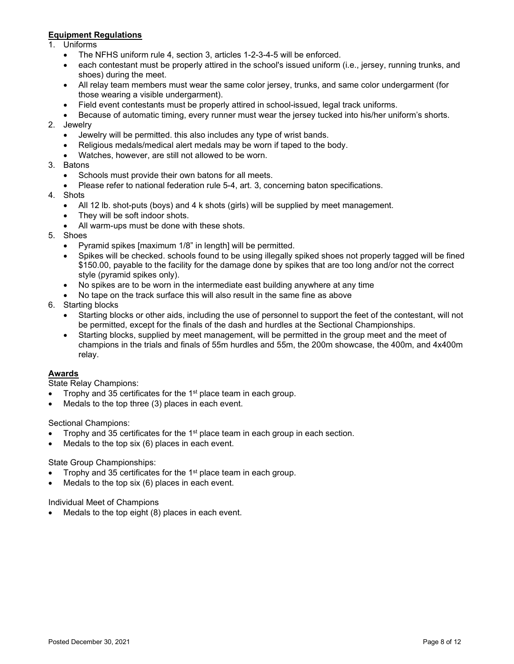# **Equipment Regulations**

- 1. Uniforms
	- The NFHS uniform rule 4, section 3, articles 1-2-3-4-5 will be enforced.
	- each contestant must be properly attired in the school's issued uniform (i.e., jersey, running trunks, and shoes) during the meet.
	- All relay team members must wear the same color jersey, trunks, and same color undergarment (for those wearing a visible undergarment).
	- Field event contestants must be properly attired in school-issued, legal track uniforms.
	- Because of automatic timing, every runner must wear the jersey tucked into his/her uniform's shorts.
- 2. Jewelry
	- Jewelry will be permitted. this also includes any type of wrist bands.
	- Religious medals/medical alert medals may be worn if taped to the body.
	- Watches, however, are still not allowed to be worn.
- 3. Batons
	- Schools must provide their own batons for all meets.
	- Please refer to national federation rule 5-4, art. 3, concerning baton specifications.
- 4. Shots
	- All 12 lb. shot-puts (boys) and 4 k shots (girls) will be supplied by meet management.
	- They will be soft indoor shots.
	- All warm-ups must be done with these shots.
- 5. Shoes
	- Pyramid spikes [maximum 1/8" in length] will be permitted.
	- Spikes will be checked. schools found to be using illegally spiked shoes not properly tagged will be fined \$150.00, payable to the facility for the damage done by spikes that are too long and/or not the correct style (pyramid spikes only).
	- No spikes are to be worn in the intermediate east building anywhere at any time
	- No tape on the track surface this will also result in the same fine as above
- 6. Starting blocks
	- Starting blocks or other aids, including the use of personnel to support the feet of the contestant, will not be permitted, except for the finals of the dash and hurdles at the Sectional Championships.
	- Starting blocks, supplied by meet management, will be permitted in the group meet and the meet of champions in the trials and finals of 55m hurdles and 55m, the 200m showcase, the 400m, and 4x400m relay.

#### **Awards**

State Relay Champions:

- Trophy and 35 certificates for the 1<sup>st</sup> place team in each group.
- Medals to the top three (3) places in each event.

Sectional Champions:

- Trophy and 35 certificates for the  $1<sup>st</sup>$  place team in each group in each section.
- Medals to the top six  $(6)$  places in each event.

#### State Group Championships:

- Trophy and 35 certificates for the 1<sup>st</sup> place team in each group.
- Medals to the top six  $(6)$  places in each event.

Individual Meet of Champions

Medals to the top eight (8) places in each event.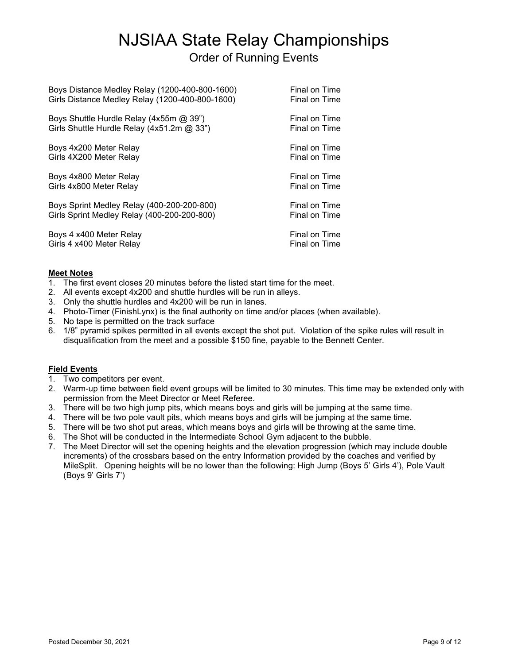# NJSIAA State Relay Championships Order of Running Events

Boys Distance Medley Relay (1200-400-800-1600) Final on Time Girls Distance Medley Relay (1200-400-800-1600) Final on Time Boys Shuttle Hurdle Relay (4x55m @ 39") Final on Time Girls Shuttle Hurdle Relay (4x51.2m @ 33") Final on Time Boys 4x200 Meter Relay Final on Time Girls 4X200 Meter Relay **Final on Time** Final on Time Boys 4x800 Meter Relay Final on Time Girls 4x800 Meter Relay **Final on Time** Boys Sprint Medley Relay (400-200-200-800) Final on Time Girls Sprint Medley Relay (400-200-200-800) Final on Time Boys 4 x400 Meter Relay Final on Time<br>Girls 4 x400 Meter Relay Final on Time Girls 4 x400 Meter Relay

# **Meet Notes**

- 1. The first event closes 20 minutes before the listed start time for the meet.
- 2. All events except 4x200 and shuttle hurdles will be run in alleys.
- 3. Only the shuttle hurdles and 4x200 will be run in lanes.
- 4. Photo-Timer (FinishLynx) is the final authority on time and/or places (when available).
- 5. No tape is permitted on the track surface
- 6. 1/8" pyramid spikes permitted in all events except the shot put. Violation of the spike rules will result in disqualification from the meet and a possible \$150 fine, payable to the Bennett Center.

# **Field Events**

- 1. Two competitors per event.
- 2. Warm-up time between field event groups will be limited to 30 minutes. This time may be extended only with permission from the Meet Director or Meet Referee.
- 3. There will be two high jump pits, which means boys and girls will be jumping at the same time.
- 4. There will be two pole vault pits, which means boys and girls will be jumping at the same time.
- 5. There will be two shot put areas, which means boys and girls will be throwing at the same time.
- 6. The Shot will be conducted in the Intermediate School Gym adjacent to the bubble.
- 7. The Meet Director will set the opening heights and the elevation progression (which may include double increments) of the crossbars based on the entry Information provided by the coaches and verified by MileSplit. Opening heights will be no lower than the following: High Jump (Boys 5' Girls 4'), Pole Vault (Boys 9' Girls 7')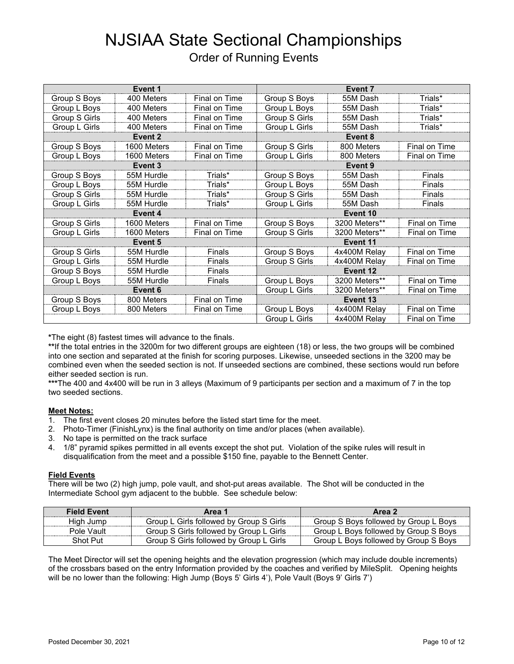# NJSIAA State Sectional Championships

|  | <b>Order of Running Events</b> |  |
|--|--------------------------------|--|
|--|--------------------------------|--|

|                    | Event 1     |               |               | Event 7       |               |  |
|--------------------|-------------|---------------|---------------|---------------|---------------|--|
| Group S Boys       | 400 Meters  | Final on Time | Group S Boys  | 55M Dash      | Trials*       |  |
| Group L Boys       | 400 Meters  | Final on Time | Group L Boys  | 55M Dash      | Trials*       |  |
| Group S Girls      | 400 Meters  | Final on Time | Group S Girls | 55M Dash      | Trials*       |  |
| Group L Girls      | 400 Meters  | Final on Time | Group L Girls | 55M Dash      | Trials*       |  |
|                    | Event 2     |               |               | Event 8       |               |  |
| Group S Boys       | 1600 Meters | Final on Time | Group S Girls | 800 Meters    | Final on Time |  |
| Group L Boys       | 1600 Meters | Final on Time | Group L Girls | 800 Meters    | Final on Time |  |
| Event <sub>3</sub> |             |               | Event 9       |               |               |  |
| Group S Boys       | 55M Hurdle  | Trials*       | Group S Boys  | 55M Dash      | Finals        |  |
| Group L Boys       | 55M Hurdle  | Trials*       | Group L Boys  | 55M Dash      | Finals        |  |
| Group S Girls      | 55M Hurdle  | Trials*       | Group S Girls | 55M Dash      | Finals        |  |
| Group L Girls      | 55M Hurdle  | Trials*       | Group L Girls | 55M Dash      | Finals        |  |
| Event 4            |             | Event 10      |               |               |               |  |
| Group S Girls      | 1600 Meters | Final on Time | Group S Boys  | 3200 Meters** | Final on Time |  |
| Group L Girls      | 1600 Meters | Final on Time | Group S Girls | 3200 Meters** | Final on Time |  |
|                    | Event 5     |               | Event 11      |               |               |  |
| Group S Girls      | 55M Hurdle  | Finals        | Group S Boys  | 4x400M Relay  | Final on Time |  |
| Group L Girls      | 55M Hurdle  | Finals        | Group S Girls | 4x400M Relay  | Final on Time |  |
| Group S Boys       | 55M Hurdle  | Finals        |               | Event 12      |               |  |
| Group L Boys       | 55M Hurdle  | Finals        | Group L Boys  | 3200 Meters** | Final on Time |  |
|                    | Event 6     |               | Group L Girls | 3200 Meters** | Final on Time |  |
| Group S Boys       | 800 Meters  | Final on Time |               | Event 13      |               |  |
| Group L Boys       | 800 Meters  | Final on Time | Group L Boys  | 4x400M Relay  | Final on Time |  |
|                    |             |               | Group L Girls | 4x400M Relay  | Final on Time |  |

**\***The eight (8) fastest times will advance to the finals.

**\*\***If the total entries in the 3200m for two different groups are eighteen (18) or less, the two groups will be combined into one section and separated at the finish for scoring purposes. Likewise, unseeded sections in the 3200 may be combined even when the seeded section is not. If unseeded sections are combined, these sections would run before either seeded section is run.

**\*\*\***The 400 and 4x400 will be run in 3 alleys (Maximum of 9 participants per section and a maximum of 7 in the top two seeded sections.

#### **Meet Notes:**

- 1. The first event closes 20 minutes before the listed start time for the meet.
- 2. Photo-Timer (FinishLynx) is the final authority on time and/or places (when available).
- 3. No tape is permitted on the track surface
- 4. 1/8" pyramid spikes permitted in all events except the shot put. Violation of the spike rules will result in disqualification from the meet and a possible \$150 fine, payable to the Bennett Center.

#### **Field Events**

There will be two (2) high jump, pole vault, and shot-put areas available. The Shot will be conducted in the Intermediate School gym adjacent to the bubble. See schedule below:

| <b>Field Event</b> | Area 1                                  | Area 2                                |
|--------------------|-----------------------------------------|---------------------------------------|
| High Jump          | Group L Girls followed by Group S Girls | Group S Boys followed by Group L Boys |
| Pole Vault         | Group S Girls followed by Group L Girls | Group L Boys followed by Group S Boys |
| Shot Put           | Group S Girls followed by Group L Girls | Group L Boys followed by Group S Boys |

The Meet Director will set the opening heights and the elevation progression (which may include double increments) of the crossbars based on the entry Information provided by the coaches and verified by MileSplit. Opening heights will be no lower than the following: High Jump (Boys 5' Girls 4'), Pole Vault (Boys 9' Girls 7')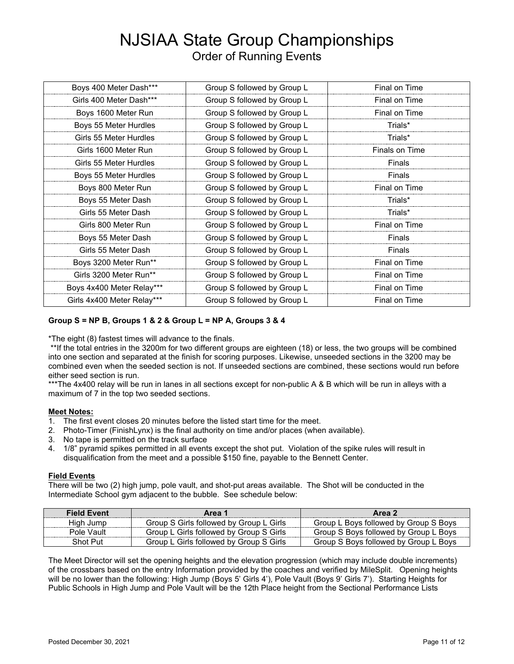# NJSIAA State Group Championships Order of Running Events

| Boys 400 Meter Dash***     | Group S followed by Group L | Final on Time  |
|----------------------------|-----------------------------|----------------|
|                            |                             |                |
| Girls 400 Meter Dash***    | Group S followed by Group L | Final on Time  |
| Boys 1600 Meter Run        | Group S followed by Group L | Final on Time  |
| Boys 55 Meter Hurdles      | Group S followed by Group L | Trials*        |
| Girls 55 Meter Hurdles     | Group S followed by Group L | Trials*        |
| Girls 1600 Meter Run       | Group S followed by Group L | Finals on Time |
| Girls 55 Meter Hurdles     | Group S followed by Group L | Finals         |
| Boys 55 Meter Hurdles      | Group S followed by Group L | Finals         |
| Boys 800 Meter Run         | Group S followed by Group L | Final on Time  |
| Boys 55 Meter Dash         | Group S followed by Group L | Trials*        |
| Girls 55 Meter Dash        | Group S followed by Group L | Trials*        |
| Girls 800 Meter Run        | Group S followed by Group L | Final on Time  |
| Boys 55 Meter Dash         | Group S followed by Group L | Finals         |
| Girls 55 Meter Dash        | Group S followed by Group L | Finals         |
| Boys 3200 Meter Run**      | Group S followed by Group L | Final on Time  |
| Girls 3200 Meter Run**     | Group S followed by Group L | Final on Time  |
| Boys 4x400 Meter Relay***  | Group S followed by Group L | Final on Time  |
| Girls 4x400 Meter Relay*** | Group S followed by Group L | Final on Time  |

#### **Group S = NP B, Groups 1 & 2 & Group L = NP A, Groups 3 & 4**

\*The eight (8) fastest times will advance to the finals.

\*\*If the total entries in the 3200m for two different groups are eighteen (18) or less, the two groups will be combined into one section and separated at the finish for scoring purposes. Likewise, unseeded sections in the 3200 may be combined even when the seeded section is not. If unseeded sections are combined, these sections would run before either seed section is run.

\*\*\*The 4x400 relay will be run in lanes in all sections except for non-public A & B which will be run in alleys with a maximum of 7 in the top two seeded sections.

#### **Meet Notes:**

- 1. The first event closes 20 minutes before the listed start time for the meet.
- 2. Photo-Timer (FinishLynx) is the final authority on time and/or places (when available).
- 3. No tape is permitted on the track surface
- 4. 1/8" pyramid spikes permitted in all events except the shot put. Violation of the spike rules will result in disqualification from the meet and a possible \$150 fine, payable to the Bennett Center.

#### **Field Events**

There will be two (2) high jump, pole vault, and shot-put areas available. The Shot will be conducted in the Intermediate School gym adjacent to the bubble. See schedule below:

| <b>Field Event</b> | Area 1                                  | Area 2                                |
|--------------------|-----------------------------------------|---------------------------------------|
| High Jump          | Group S Girls followed by Group L Girls | Group L Boys followed by Group S Boys |
| Pole Vault         | Group L Girls followed by Group S Girls | Group S Boys followed by Group L Boys |
| Shot Put           | Group L Girls followed by Group S Girls | Group S Boys followed by Group L Boys |

The Meet Director will set the opening heights and the elevation progression (which may include double increments) of the crossbars based on the entry Information provided by the coaches and verified by MileSplit. Opening heights will be no lower than the following: High Jump (Boys 5' Girls 4'), Pole Vault (Boys 9' Girls 7'). Starting Heights for Public Schools in High Jump and Pole Vault will be the 12th Place height from the Sectional Performance Lists